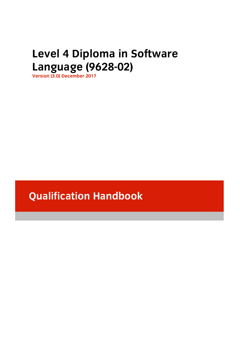# **Level 1 Diploma in the UP** of the *Level 10628-02)*

**Language (1962-02)**<br> **Version (3.0) December 2017** 

# **Qualification Handbook**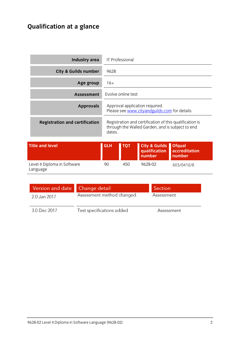# **Qualification at a glance**

 $\overline{a}$ 

| Industry area                            | IT Professional                                                                                                       |                    |                                                     |                                          |
|------------------------------------------|-----------------------------------------------------------------------------------------------------------------------|--------------------|-----------------------------------------------------|------------------------------------------|
| <b>City &amp; Guilds number</b>          | 9628                                                                                                                  |                    |                                                     |                                          |
| Age group                                | $16+$                                                                                                                 |                    |                                                     |                                          |
| <b>Assessment</b>                        |                                                                                                                       | Evolve online test |                                                     |                                          |
| <b>Approvals</b>                         | Approval application required.<br>Please see www.cityandguilds.com for details.                                       |                    |                                                     |                                          |
| <b>Registration and certification</b>    | Registration and certification of this qualification is<br>through the Walled Garden, and is subject to end<br>dates. |                    |                                                     |                                          |
| <b>Title and level</b>                   | <b>GLH</b>                                                                                                            | <b>TQT</b>         | <b>City &amp; Guilds</b><br>qualification<br>number | <b>Ofqual</b><br>accreditation<br>number |
| Level 4 Diploma in Software<br>l anguage | 90                                                                                                                    | 450                | 9628-02                                             | 603/0410/8                               |

| Version and date Change detail |                            | Section    |
|--------------------------------|----------------------------|------------|
| 2.0 Jan 2017                   | Assessment method changed. | Assessment |
| 3.0 Dec 2017                   | Test specifications added  | Assessment |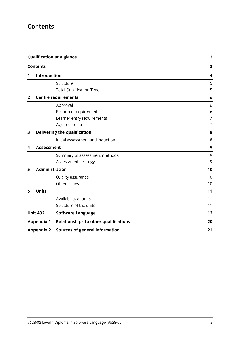# **Contents**

| <b>Qualification at a glance</b><br><b>Contents</b> |                                                           | $\mathbf{2}$                                                                                                             |
|-----------------------------------------------------|-----------------------------------------------------------|--------------------------------------------------------------------------------------------------------------------------|
|                                                     |                                                           | $\mathbf{3}$                                                                                                             |
|                                                     |                                                           | 4                                                                                                                        |
|                                                     | Structure                                                 | 5                                                                                                                        |
|                                                     | <b>Total Qualification Time</b>                           | 5                                                                                                                        |
|                                                     |                                                           | 6                                                                                                                        |
|                                                     | Approval                                                  | 6                                                                                                                        |
|                                                     | Resource requirements                                     | 6                                                                                                                        |
|                                                     | Learner entry requirements                                | $\overline{7}$                                                                                                           |
|                                                     | Age restrictions                                          | 7                                                                                                                        |
|                                                     |                                                           | 8                                                                                                                        |
|                                                     | Initial assessment and induction                          | 8                                                                                                                        |
|                                                     |                                                           | 9                                                                                                                        |
|                                                     | Summary of assessment methods                             | 9                                                                                                                        |
|                                                     | Assessment strategy                                       | 9                                                                                                                        |
|                                                     |                                                           | 10                                                                                                                       |
|                                                     | Quality assurance                                         | 10                                                                                                                       |
|                                                     | Other issues                                              | 10                                                                                                                       |
| <b>Units</b>                                        |                                                           | 11                                                                                                                       |
|                                                     | Availability of units                                     | 11                                                                                                                       |
|                                                     | Structure of the units                                    | 11                                                                                                                       |
|                                                     | <b>Software Language</b>                                  | 12                                                                                                                       |
|                                                     | <b>Relationships to other qualifications</b>              | 20                                                                                                                       |
|                                                     | <b>Sources of general information</b>                     | 21                                                                                                                       |
|                                                     | <b>Unit 402</b><br><b>Appendix 1</b><br><b>Appendix 2</b> | <b>Introduction</b><br><b>Centre requirements</b><br>Delivering the qualification<br><b>Assessment</b><br>Administration |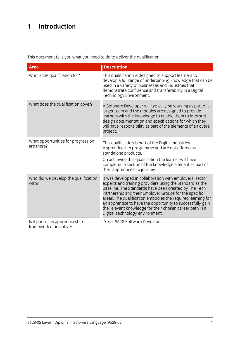# **1 Introduction**

This document tells you what you need to do to deliver the qualification:

| <b>Area</b>                                                 | <b>Description</b>                                                                                                                                                                                                                                                                                                                                                                                                                                                  |
|-------------------------------------------------------------|---------------------------------------------------------------------------------------------------------------------------------------------------------------------------------------------------------------------------------------------------------------------------------------------------------------------------------------------------------------------------------------------------------------------------------------------------------------------|
| Who is the qualification for?                               | This qualification is designed to support learners to<br>develop a full range of underpinning knowledge that can be<br>used in a variety of businesses and industries that<br>demonstrate confidence and transferability in a Digital<br>Technology Environment.                                                                                                                                                                                                    |
| What does the qualification cover?                          | A Software Developer will typically be working as part of a<br>larger team and the modules are designed to provide<br>learners with the knowledge to enable them to interpret<br>design documentation and specifications for which they<br>will have responsibility as part of the elements of an overall<br>project.                                                                                                                                               |
| What opportunities for progression<br>are there?            | This qualification is part of the Digital Industries<br>Apprenticeship programme and are not offered as<br>standalone products.<br>On achieving this qualification the learner will have<br>completed a section of the knowledge element as part of<br>their apprenticeship journey.                                                                                                                                                                                |
| Who did we develop the qualification<br>with?               | It was developed in collaboration with employers, sector<br>experts and training providers using the Standard as the<br>baseline. The Standards have been created by The Tech<br>Partnership and their Employer Groups for the specific<br>areas. The qualification embodies the required learning for<br>an apprentice to have the opportunity to successfully gain<br>the relevant knowledge for their chosen career path in a<br>Digital Technology environment. |
| Is it part of an apprenticeship<br>framework or initiative? | Yes-9648 Software Developer                                                                                                                                                                                                                                                                                                                                                                                                                                         |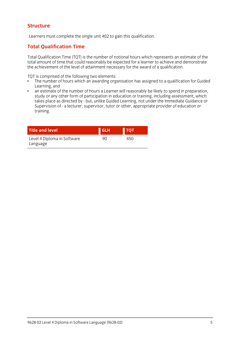### **Structure Structure**

Learners must complete the single unit 402 to gain this qualification.

# **Total Qualification Time**

Total Qualification Time (TQT) is the number of notional hours which represents an estimate of the the achievement of the level of attainment necessary for the award of a qualification. the achievement of the level of attainment necessary for the award of a qualification.

- $\cdot$  The number of hours which an awarding org  $\frac{1}{2}$  The number of  $\frac{1}{2}$  and  $\frac{1}{2}$  and  $\frac{1}{2}$  are assigned to a qualitation for Guidel $\frac{1}{2}$  and  $\frac{1}{2}$  and  $\frac{1}{2}$  and  $\frac{1}{2}$  and  $\frac{1}{2}$  and  $\frac{1}{2}$  and  $\frac{1}{2}$  and  $\frac{1}{2}$  and  $\frac{1}{2$ Learning, and<br>an estimate of the number of hours a Learner will reasonably be likely to spend in preparation.
- $\bullet$ study or any other form of participation in education or training, including assessment, which takes place as directed by - but, unlike Guided Learning, not under the Immediate Guidance or takes place as an ecceancy - but, unlike Guided Learning, not under the Immediate Guidance or<br>Supervision of - a lecturer supervisor, tutor or other, appropriate provider of education or Supervision of - a lecturer, supervisor, tutor or other, appropriate provider of education or training.

| <b>Title and level</b>                  | <b>GLH</b> | <b>TQT</b> |
|-----------------------------------------|------------|------------|
| Level 4 Diploma in Software<br>Language | gη         | 450        |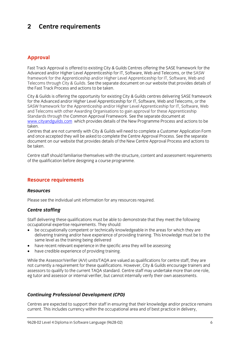### $\overline{2}$ **2 Centre requirements**

### **Approval**

Fast Track Approval is offered to existing City & Guilds Centres offering the SASE framework for the Advanced and/or Higher Level Apprenticeship for IT, Software, Web and Telecoms, or the SASW framework for the Apprenticeship and/or Higher Level Apprenticeship for IT, Software, Web and Telecoms through City & Guilds. See the separate document on our website that provides details of the Fast Track Process and actions to be taken. the Fast Track Process and actions to be taken.

City & Guilds is offering the opportunity for existing City & Guilds centres delivering SASE framework<br>for the Advanced and/or Higher Level Apprenticeship for IT, Software, Web and Telecoms, or the SASW framework for the Apprenticeship and/or Higher Level Apprenticeship for IT, Software, Web and Telecoms with other Awarding Organisations to gain approval for these Apprenticeship Standards through the Common Approval Framework. See the separate document at www.cityandguilds.com which provides details of the New Programme Process and actions to be www.cityandguilds.com which provides details of the New Programme Process and actions to be New Process and a<br>taken

Centres that are not currently with City & Guilds will need to complete a Customer Application Form and once accepted they will be asked to complete the Centre Approval Process. See the separate document on our website that provides details of the New Centre Approval Process and actions to document on our website that provides details of the New Centre Approval Provides and actions to be taken.

 $\alpha$  the qualification before designing a course programme of the qualification before designing a course programme.

# **Resource requirements**

### **Resources** *Resources*

Please see the individual unit information for any resources required.

# *Centre staffing*

Staff delivering these qualifications must be able to demonstrate that they meet the following occupational expertise requirements. They should:

- be occupationally competent or technically knowledgeable in the areas for which they are<br>delivering training and/or have experience of providing training. This knowledge must be to delivering training and/or have experience of providing training. This knowledge must be to the same level as the training being delivered
- have recent relevant experience in the specific area they will be assessing<br>• have credible experience of providing training
- have credible experience of providing training.

While the Assessor/Verifier (A/V) units/TAQA are valued as qualifications for centre staff, they are not currently a requirement for these qualifications. However, City & Guilds encourage trainers and assessors to qualify to the current TAQA standard. Centre staff may undertake more than one role, assessors to quality to the current TAQA standard. Centre stationary undertake more than one role,<br>And tutor and assessor or internal verifier hut cannot internally verify their own assessments eg tutor and assessor or internal verifier, but cannot internally verify their own assessments.

# *Continuing Professional Development (CPD)*

Centres are expected to support their staff in ensuring that their knowledge and/or practice remains current. This includes currency within the occupational area and of best practice in delivery. current. This includes currency with the occupation the occupation of best product product product product in delivery,  $\frac{1}{2}$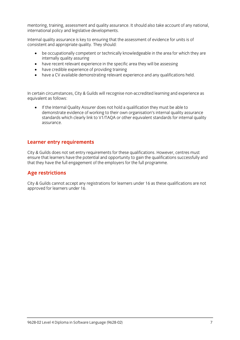mentoring, training, assessment and quality assurance. It should also take account of any national, international policy and legislative developments.

Internal quality assurance is key to ensuring that the assessment of evidence for units is of consistent and appropriate quality. They should:

- be occupationally competent or technically knowledgeable in the area for which they are internally quality assuring
- have recent relevant experience in the specific area they will be assessing<br>• have credible experience of providing training
- have credible experience of providing training<br>• have a CV available demonstrating relevant ex-
- have a CV available demonstrating relevant experience and any qualifications held.

In certain circumstances, City & Guilds will recognise non-accredited learning and experience as equivalent as follows:

If the Internal Quality Assurer does not hold a qualification they must be able to demonstrate evidence of working to their own organisation's internal quality assurance standards which clearly link to V1/TAOA or other equivalent standards for internal quality standards which clearly link to V1/TAQA or other equivalent standards for internal quality.<br>ASSUIFANCE assurance.

### **Learner entry requirements**

City & Guilds does not set entry requirements for these qualifications. However, centres must ensure that learners have the potential and opportunity to gain the qualifications successfully and that they have the full engagement of the employers for the full programme.  $t_{\rm t}$  that the employers for the full programme.

### **Age restrictions**

City & Guilds cannot accept any registrations for learners under 16 as these qualifications are not approved for learners under 16.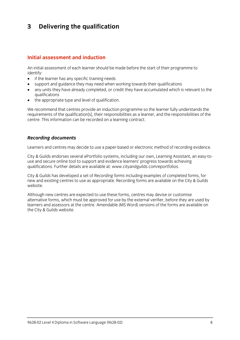### $\mathbf{3}$ **3 Delivering the qualification**

### Initial assessment and induction **Initial assessment and induction**

An initial assessment of each learner should be made before the start of their programme to identify:

- $\bullet$  if the learner has any specific training needs<br>  $\bullet$  sunnort and quidance they may need when
- support and guidance they may need when working towards their qualifications
- any units they have already completed, or credit they have accumulated which is relevant to the
- $\bullet$  the appropriate type and level of qualification.

We recommend that centres provide an induction programme so the learner fully understands the requirements of the qualification[s], their responsibilities as a learner, and the responsibilities of the centre. This information can be recorded on a learning contract. centre. This information can be recorded on a learning contract.

### *Recording documents*

Learners and centres may decide to use a paper-based or electronic method of recording evidence.

City & Guilds endorses several ePortfolio systems, including our own, Learning Assistant, an easy-toqualifications. Further details are available at: www.citvand euilds.com/eportfolios. qualifications. Further details are available at: [www.cityandguilds.com/eportfolios.](http://www.cityandguilds.com/eportfolios)

City & Guilds has developed a set of *Recording forms* including examples of completed forms, for new and existing centres to use as appropriate. Recording forms are available on the City & Guilds website.

Although new centres are expected to use these forms, centres may devise or customise<br>alternative forms, which must be approved for use by the external verifier, before they are used by learners and assessors at the centre. Amendable (MS Word) versions of the forms are available on the City & Guilds website.  $t_{\rm t}$  the City website.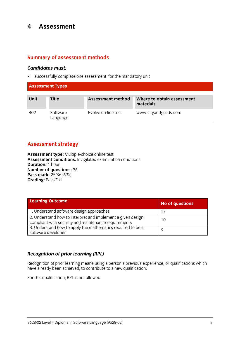### $\overline{\mathbf{4}}$ **Assessment 4 Assessment**

### **Summary of assessment methods**

*Candidates must:* successfully complete one assessment for the mandatory unit

| <b>Assessment Types</b> |                      |                     |                                         |
|-------------------------|----------------------|---------------------|-----------------------------------------|
| <b>Unit</b>             | <b>Title</b>         | Assessment method   | Where to obtain assessment<br>materials |
| 402                     | Software<br>Language | Evolve on-line test | www.cityandguilds.com                   |

### **Assessment strategy**

Assessment type: Multiple-choice online test<br>Assessment conditions: Invigilated examination conditions **Duration:** 1 hour **Number of questions: 36 Pass mark: 25/36 (69%) Grading: Pass/Fail Grading:** Pass/Fail

| <b>Learning Outcome</b>                                                                                              | No of questions |
|----------------------------------------------------------------------------------------------------------------------|-----------------|
| 1. Understand software design approaches                                                                             | 17              |
| 2. Understand how to interpret and implement a given design,<br>compliant with security and maintenance requirements | 10              |
| 3. Understand how to apply the mathematics required to be a<br>software developer                                    | Q               |

### *Recognition of prior learning (RPL)*

Recognition of prior learning means using a person's previous experience, or qualifications which is needed. have already been achieved, to contribute to a new qualification.

For this qualification, RPL is not allowed.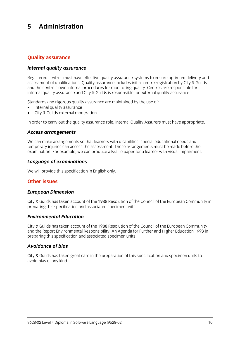### 5 Administration **5 Administration**

# **Quality assurance**

### *Internal quality assurance*

Registered centres must have effective quality assurance systems to ensure optimum delivery and<br>assessment of qualifications. Quality assurance includes initial centre registration by City & Guilds and the centre's own internal procedures for monitoring quality. Centres are responsible for internal quality assurance and City & Guilds is responsible for external quality assurance. internal quality assurance and City & Guilds is responsible for external quality assurance.

- $\bullet$  internal quality assurance<br>  $\bullet$  City & Guilds external moderation
- City & Guilds external moderation.

In order to carry out the quality assurance role, Internal Quality Assurers must have appropriate.

# *Access arrangements*

We can make arrangements so that learners with disabilities, special educational needs and<br>temporary injuries can access the assessment. These arrangements must be made before the examination. For example, we can produce a Braille paper for a learner with visual impairment. examination. For example, we can produce a Braille paper for a learner with visual impairment.

# *Language of examinations*

We will provide this specification in English only.

### Other issues **Other issues**

# *European Dimension*

City & Guilds has taken account of the 1988 Resolution of the Council of the European Community in preparing this specification and associated specimen units. preparing this specification and associated specimen units.

### **Environmental Education** *Environmental Education*

City & Guilds has taken account of the 1988 Resolution of the Council of the European Community<br>and the Report Environmental Responsibility: An Agenda for Further and Higher Education 1993 in  $\alpha$  and the Report Engineering  $\alpha$  and  $\beta$  and  $\beta$  in Agenda for Further and Higher Education 1993 in  $\beta$ preparing this specification and associated specimen units.

### **Avoidance of bias** *Avoidance of bias*

City & Guilds has taken great care in the preparation of this specification and specimen units to avoid bias of any kind.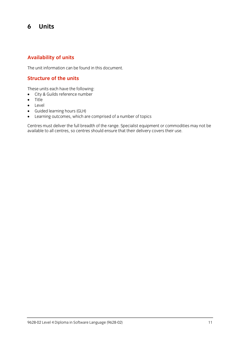### 6 **6 Units**

### **Availability of units**

The unit information can be found in this document.

### **Structure of the units**

- $\bullet$  City & Guilds reference number
- $\bullet$  Title
- **•** Level<br>• Guide
- Guided learning hours (GLH)
- 

• Learning outcomes, which are comprised of a number of topics<br>Centres must deliver the full breadth of the range. Specialist equipment or commodities may not be centres must demite the functionality of the range oppositive equipment or commodities may not be available to all centres, so centres should ensure that their delivery covers their use.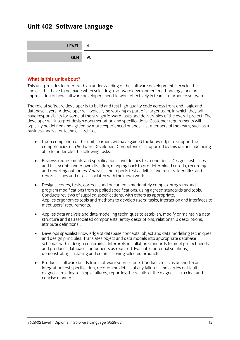### **Unit 402 Software Language**

| LEVEL 4       |  |
|---------------|--|
| <b>GLH</b> 90 |  |

### What is this unit about?

This unit provides learners with an understanding of the software development lifecycle, the choices that have to be made when selecting a software development methodology, and an appreciation of how software developers need to work effectively in teams to produce software. appreciation of how software developers need to work effectively in teams to produce software.

The role of software developer is to build and test high-quality code across front end, logic and<br>database lavers. A developer will typically be working as part of a larger team, in which they will have responsibility for some of the straightforward tasks and deliverables of the overall project. The developer will interpret design documentation and specifications. Customer requirements will typically be defined and agreed by more experienced or specialist members of the team, such as a business analyst or technical architect. business analyst or technical architect.

- Upon completion of this unit, learners will have gained the knowledge to support the competencies of a Software Developer. Competencies supported by the universities som<sub>i</sub>g.<br>able to undertake the following tasks: able to undertake the following tasks:
- Reviews requirements and specifications, and defines test conditions. Designs test cases and test scripts under own direction, mapping back to pre-determined criteria, recording and reporting outcomes. Analyses and reports test activities and results. Identifies and reports issues and risks associated with their own work. reports issues and risks associated with their own work.
- Designs, codes, tests, corrects, and documents moderately complex programs and program modifications from supplied specifications, using agreed standards and tools. Conducts reviews of supplied specifications, with others as appropriate. Conducts reviews of supplied specifications, with others as appropriate. Applies ergonomics tools and methods to develop users' tasks, interaction and interfaces to meet users' requirements.
- Applies data analysis and data modelling techniques to establish, modify or maintain a data structure and its associated components (entity descriptions, relationship descriptions, attribute definitions). attribute definitions).
- Develops specialist knowledge of database concepts, object and data modelling techniques and design principles. Translates object and data models into appropriate database schemas within design constraints. Interprets installation standards to meet project needs and produces database components as required. Evaluates potential solutions, demonstrating, installing and commissioning selected products. demonstrating, installing and commissioning selected products.
- Produces software builds from software source code. Conducts tests as defined in an integration test specification, records the details of any failures, and carries out fault diagnosis relating to simple failures, reporting the results of the diagnosis in a clear and concise manner. concise manner.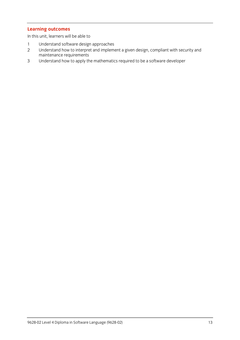**Learning outcomes** In this unit, learners will be able to

- 
- 1 Understand software design approaches<br>2 Understand how to interpret and implement a given design, compliant with security and maintenance requirements
- maintenance requirements  $\frac{1}{2}$  Understand to a software developeration to be a software developeration of  $\frac{1}{2}$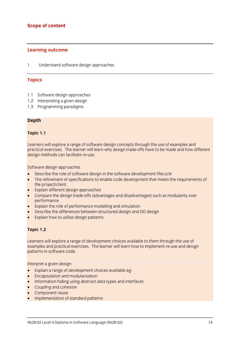# **Scope of content**

### **Learning outcome**

 $\mathbf{1}$  $1$  Understand software design approaches design approaches design approaches  $\sigma$ 

# **Topics**

- 1.1 Software design approaches<br>1.2 Interpreting a given design
- 
- 1.3 Programming paradigms 1.3 Programming paradigms

### **Depth**

### **Topic 1.1**

Learners will explore a range of software design concepts through the use of examples and<br>practical exercises. The learner will learn why design trade-offs have to be made and how different processes. The learner will learner with the learner with the material control of the material of the material of the material of the material of the material of the material of the material of the material of the material  $\frac{d}{d}$  methods can facilitate results can facilitate results for  $\frac{d}{d}$ 

- **Software constructs**<br> **Example 20** Describe the role of software design in the software development lifecycle<br> **Example 20** The refinement of specifications to enable code development that meets to
- The refinement of specifications to enable code development that meets the requirements of the project/client.
- $\bullet$  Explain different design approaches
- Compare the design trade-offs (advantages and disadvantages) such as modularity over
- Explain the role of performance modelling and simulation<br>• Describe the differences between structured design and
- Describe the differences between structured design and OO design
- Explain how to utilise design patterns

# **Topic 1.2**

Learners will explore a range of development choices available to them through the use of examples and practical exercises. The learner will learn how to implement re-use and design patterns in software code. patterns in software code.

- Interpret a green design<br>
Explain a range of development choices available eg:<br>
Encapsulation and modularisation
- **Encapsulation and modularisation**
- Information hiding using abstract data types and interfaces
- Coupling and cohesion
- Component reuse
- Implementation of standard patterns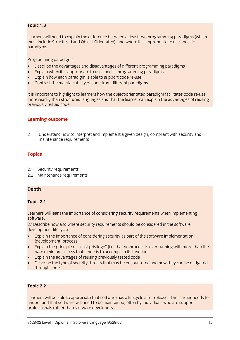# **Topic 1.3**

Learners will need to explain the difference between at least two programming paradigms (which must include Structured and Object-Orientated), and where it is appropriate to use specific  $n$  is a discrete Structure orientated and  $\sum_{i=1}^n a_i$  and  $\sum_{i=1}^n a_i$  is a propriate to use specific to use specific to use specific to use specific to use specific to use specific to use specific to use specific to paradigms.

- **Programming the advantages and disadvantages of different programming paradigms**<br>• Explain when it is appropriate to use specific programming paradigms
- Explain when it is appropriate to use specific programming paradigms
- Explain how each paradigm is able to support code re-use
- Contrast the maintainability of code from different paradigms

It is important to highlight to learners how the object-orientated paradigm facilitates code re-use<br>more readily than structured languages and that the learner can explain the advantages of reusing previously tested code. previously tested code.

### **Learning outcome**

2 Understand how to interpret and implement a given design, compliant with security and maintenance requirements maintenance requirements

# **Topics**

- 
- 2.1 Security requirements<br>2.2 Maintenance requirements 2.2 Maintenance requirements

# **Depth**

# **Topic 2.1**

 $\mathsf{softmax}$ software.<br>2.1Describe how and where security requirements should be considered in the software

development lifecycle

- **Explain the importance of considering security as part of the software implementation**<br>(development) process
- Explain the principle of "least privilege" (i.e. that no process is ever running with more than the hare minimum access that it needs to accomplish its function)
- Explain the advantages of reusing previously tested code<br>• Describe the type of security threats that may be encountered
- Describe the type of security threats that may be encountered and how they can be mitigated through code

# **Topic 2.2**

Learners will be able to appreciate that software has a lifecycle after release. The learner needs to understand that software will need to be maintained, often by individuals who are support professionals rather than software developers. professionals rather than software developers.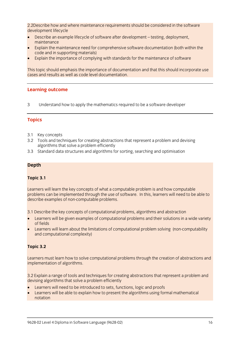2.2Describe how and where maintenance requirements should be considered in the software development lifecycle

- of the protepart and supplied if the cycle of software after development testing, deployment,<br>maintenance
- Explain the maintenance need for comprehensive software documentation (both within the code and in supporting materials)
- Explain the importance of complying with standards for the maintenance of software

This topic should emphasis the importance of documentation and that this should incorporate use<br>cases and results as well as code level documentation. cases and results as well as code level documentation.

# **Learning outcome**

 $\overline{3}$  $3.9$  Understand how to apply the mathematics required to be a software developer.

# **Topics**

- 
- 3.1 Key concepts<br>3.2 Tools and techniques for creating abstractions that represent a problem and devising algorithms that solve a problem efficiently
- 3.3 Standard data structures and algorithms for sorting, searching and optimisation  $3.3$  Standard data structures and  $3.3$  Standard and optimisation  $\sigma$

### **Depth**

### **Topic 3.1**

Learners will learn the key concepts of what a computable problem is and how computable<br>problems can be implemented through the use of software. In this, learners will need to be able to describe examples of non-computable problems. describe examples of non-computable problems.

- **Examples of computational problems and their solutions in a wide variety**<br>of fields
- Learners will learn about the limitations of computational problem solving (non-computability<br>and computational complexity) and computational complexity)

# **Topic 3.2**

Learners must learn how to solve computational problems through the creation of abstractions and implementation of algorithms. implementation of algorithms.

3.2 Explain a range of tools and techniques for creating abstractions that represent a problem and devising algorithms that solve a problem efficiently

- Learners will need to be introduced to sets, functions, logic and proofs<br>
Learners will be able to explain bow to present the algorithms using for
- Learners will be able to explain how to present the algorithms using formal mathematical n<del>oma</del>ti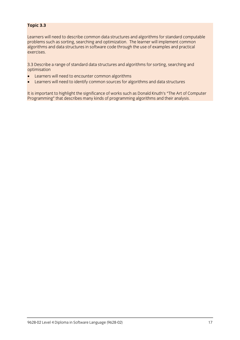### **Topic 3.3**

Learners will need to describe common data structures and algorithms for standard computable problems such as sorting, searching and optimization. The learner will implement common algorithms and data structures in software code through the use of examples and practical  $\alpha$ exercises.

3.3 Describe a range of standard data structures and algorithms for sorting, searching and

- Learners will need to encounter common algorithms<br>• Learners will need to identify common sources for alc
- Learners will need to identify common sources for algorithms and data structures

Programming" that describes many kinds of programming algorithms and their analysis Programming" that describes many kinds of programming algorithms and their analysis.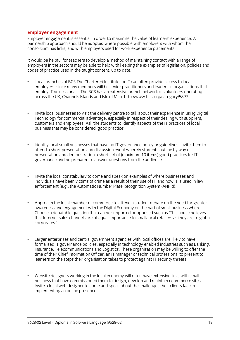**Employer engagement**<br> **Employer engagement is essential in order to maximise the value of learners' experience. A** partnership approach should be adopted where possible with employers with whom the consortium has links, and with employers used for work experience placements. consortium has links, and with employers used for work experience placements.

It would be helpful for teachers to develop a method of maintaining contact with a range of<br>employers in the sectors may be able to help with keeping the examples of legislation, policies and codes of practice used in the taught content, up to date. codes of practice used in the taught content, up to date.

- Local branches of BCS The Chartered Institute for IT can often provide access to local<br>employers, since many members will be senior practitioners and leaders in organisations that employ IT professionals. The BCS has an extensive branch network of volunteers operating across the UK, Channels Islands and Isle of Man. http://www.bcs.org/category/5897 across the UK, Channels Islands and Islands and Islands and Islands and Islands and Islands and Islands and Is
- Invite local businesses to visit the delivery centre to talk about their experience in using Digital Technology for commercial advantage, especially in respect of their dealing with suppliers, customers and employees. Ask the students to identify aspects of the IT practices of local business that may be considered 'good practice'. business that may be considered 'good practice'.
- Identify local small businesses that have no IT governance policy or guidelines. Invite them to attend a short presentation and discussion event wherein students outline by way of  $\ddot{\phantom{a}}$ presentation and demonstration a short set of (maximum 10 items) good practices for IT governance and be prepared to answer questions from the audience. governance and be prepared to answer questions from the audience.
- Invite the local constabulary to come and speak on examples of where businesses and<br>individuals have been victims of crime as a result of their use of IT, and how IT is used in law  $\bullet$ individuals have been victims of crime as a result of their use of IT, and how It is used in law.<br>Anforcement (e.g. the Automatic Number Plate Recognition System (ANPR)) enforcement (e.g., the Automatic Number Plate Recognition System (ANPR)).
- Approach the local chamber of commerce to attend a student debate on the need for greater awareness and engagement with the Digital Economy on the part of small business where. Choose a debatable question that can be supported or opposed such as 'This house believes that Internet sales channels are of equal importance to small/local retailers as they are to global that Internet sales channels are of equal importance to small/local retailers as they are to global corporates.'
- Larger enterprises and central government agencies with local offices are likely to have<br>formalised IT governance policies, especially in technology enabled industries such as Banking, Insurance. Telecommunications and Logistics. These organisation may be willing to offer the time of their Chief Information Officer, an IT manager or technical professional to present to learners on the steps their organisation takes to protect against IT security threats. learners on the steps their organisation takes to protect against IT security threats.
- $\bullet$ • Website designers working in the local economy will often have extensive links with small Invite a local web designer to come and speak about the challenges their clients face in implementing an online presence. implementing an online presence.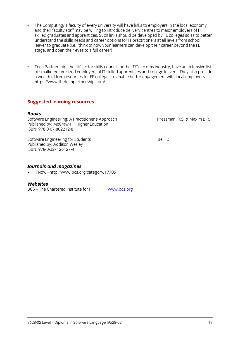- The Computing/IT faculty of every university will have links to employers in the local economy and their faculty staff may be willing to introduce delivery centres to major employers of IT  $\bullet$ skilled graduates and apprentices. Such links should be developed by FE colleges so as to better understand the skills needs and career options for IT practitioners at all levels from school leaver to graduate (i.e., think of how your learners can develop their career beyond the FE stage, and open their eyes to a full career). stage, and open their eyes to a full career).
- Tech Partnership, the UK sector skills council for the IT/Telecoms industry, have an extensive list of small/medium sized employers of IT skilled apprentices and college leavers. They also provide  $\bullet$ a wealth of free resources for FE colleges to enable better engagement with local employers.  $\frac{1}{2}$  https://www.thetechnartnership.com/ https://www.thetechpartnership.com/

### **Suggested learning resources**

### **Books**

Software Engineering: A Practitioner's Approach Software Engineering: A Practitioner's Approach Pressman, R.S. & Maxim B.R.<br>
Published by: McGraw-Hill Higher Education Published by: McGraw-Hill Higher Education ISBN: 978-0-07-802212-8

Software Engineering for Students<br>
Published by: Addison Wesley<br>
Bell, D. ISBN: 978-0-32-126127-4 <u>- 978-1261 1262- 1262- 1262- 12</u>

**Journals and magazines and magazines and magazines in TNow - http://www.bcs.org/category/17705** 

### **Websites**

**BCS** – The Chartered Institute for IT BCS – The Chartered Institute for IT [www.bcs.org](http://www.bcs.org/)

www.bcs.org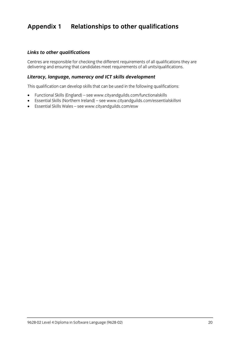# **Appendix 1 Relationships to other qualifications**

### *Links to other qualifications*

Centres are responsible for checking the different requirements of all units/qualifications they are delivering and ensuring that can deliver meet requirements of all units/qualifications.

### *Literacy, language, numeracy and ICT skills development*

This qualification can develop skills that can be used in the following qualifications:

- Functional Skills (England) se[e www.](http://www.cityandguilds.com/functionalskills)[cityandguilds.com/functionalskills](http://www.cityandguilds.com/essentialskillsni)<br>● Fssential Skills (Northern Ireland) see www.cityandguilds.com/essentia
- Essential Skills (Northern Ireland) see www.cityandguilds.com/essentialskillsni<br>■ Essential Skills Wales see www.cityandguilds.com/esw
- Essential Skills Wales see [www.cityandguilds.com/esw](http://www.cityandguilds.com/esw)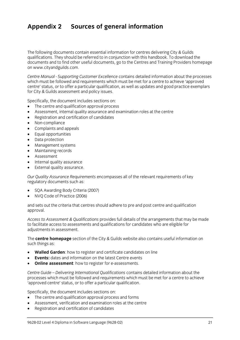# **Appendix 2 Sources of general information**

The following documents contain essential information for centres delivering City & Guilds qualifications. They should be referred to in conjunction with this handbook. To download the documents and to find other useful documents, go to the Centres and Training Providers homepage on www.cityandguilds.com.  $\frac{1}{2}$  and  $\frac{1}{2}$ 

*Centre Manual - Supporting Customer Excellence* contains detailed information about the processes centre' status, or to offer a particular qualification, as well as updates and good practice exemplars for City & Guilds assessment and policy issues. for City & Guilds assessment and policy issues.

- The centre and qualification approval process<br>• Assessment internal quality assurance and ex
- Assessment, internal quality assurance and examination roles at the centre
- Registration and certification of candidates
- Non-compliance
- Complaints and appeals
- Equal opportunities
- Data protection
- Management systems
- Maintaining records
- Assessment
- Internal quality assurance
- External quality assurance.

*Our Quality Assurance Requirements* encompasses all of the relevant requirements of key regulatory documents such as:

- SQA Awarding Body Criteria (2007)
- NVQ Code of Practice (2006)

and sets out the criteria that centres should adhere to pre and post centre and qualification approval. approval.

*Access to Assessment & Qualifications* provides full details of the arrangements that may be made adiustments in assessment. adjustments in assessment.

The **centre homepage** section of the City & Guilds website also contains useful information on  $\mathbf{S}$ 

- **Walled Garden**: how to register and certificate candidates on line
- **Events:** dates and information on the latest Centre events
- **Online assessment**: how to register for e-assessments.

*Centre Guide – Delivering International Qualifications* contains detailed information about the processes which must be followed and requirements which metables where a centre to achieve.<br>'annroved centre' status, or to offer a narticular qualification 'approved centre' status, or to offer a particular qualification.

- The centre and qualification approval process and forms
- Assessment, verification and examination roles at the centre
- Registration and certification of candidates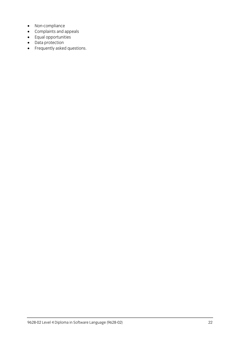- Non-compliance
- Complaints and appeals
- Equal opportunities
- Data protection
- Frequently asked questions.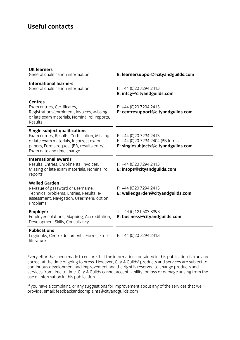# **Useful contacts**

| <b>UK learners</b><br>General qualification information                                                                                                                                                    | E: learnersupport@cityandguilds.com                                                                 |
|------------------------------------------------------------------------------------------------------------------------------------------------------------------------------------------------------------|-----------------------------------------------------------------------------------------------------|
| <b>International learners</b><br>General qualification information                                                                                                                                         | $F: +44(0)2072942413$<br>E: intcg@cityandguilds.com                                                 |
| <b>Centres</b><br>Exam entries, Certificates,<br>Registrations/enrolment, Invoices, Missing<br>or late exam materials, Nominal roll reports,<br>Results                                                    | $F: +44(0)2072942413$<br>E: centresupport@cityandguilds.com                                         |
| <b>Single subject qualifications</b><br>Exam entries, Results, Certification, Missing<br>or late exam materials, Incorrect exam<br>papers, Forms request (BB, results entry),<br>Exam date and time change | $F: +44(0)2072942413$<br>$F: +44$ (0)20 7294 2404 (BB forms)<br>E: singlesubjects@cityandguilds.com |
| <b>International awards</b><br>Results, Entries, Enrolments, Invoices,<br>Missing or late exam materials, Nominal roll<br>reports                                                                          | $F: +44(0)2072942413$<br>E: intops@cityandguilds.com                                                |
| <b>Walled Garden</b><br>Re-issue of password or username,<br>Technical problems, Entries, Results, e-<br>assessment, Navigation, User/menu option,<br>Problems                                             | $F: +44(0)2072942413$<br>E: walledgarden@cityandguilds.com                                          |
| <b>Employer</b><br>Employer solutions, Mapping, Accreditation,<br>Development Skills, Consultancy                                                                                                          | $T: +44(0)1215038993$<br>E: business@cityandguilds.com                                              |
| <b>Publications</b><br>Logbooks, Centre documents, Forms, Free<br>literature                                                                                                                               | $F: +44(0)2072942413$                                                                               |

Every effort has been made to ensure that the information contained in this publication is true and correct at the time of going to press. However, City & Guilds' products and services are subject to continuous development and improvement and the right is reserved to change products and services from time to time. City & Guilds cannot accept liability for loss or damage arising from the services from time to time. City & Guilds cannot accept liability for loss or damage arising from the use of information in this publication.

If you have a complete a complete a complete a complete and the services that we have a contribution of the services that we have a contribution of the services that we have a contribution of the services that we have a co provide, email[: feedbackandcomplaints@cityandguilds.com](http://feedbackandcomplaints@cityandguilds.com)